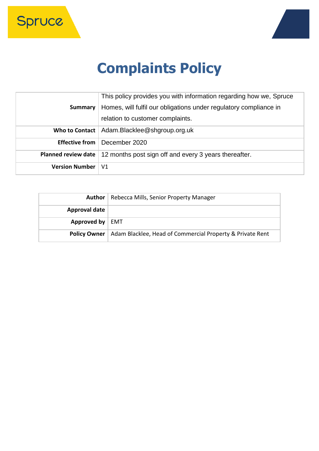Spruce



# **Complaints Policy**

|                            | This policy provides you with information regarding how we, Spruce |
|----------------------------|--------------------------------------------------------------------|
| Summary                    | Homes, will fulfil our obligations under regulatory compliance in  |
|                            | relation to customer complaints.                                   |
|                            | Who to Contact   Adam.Blacklee@shgroup.org.uk                      |
| <b>Effective from</b>      | December 2020                                                      |
| <b>Planned review date</b> | 12 months post sign off and every 3 years thereafter.              |
| <b>Version Number</b>      | V <sub>1</sub>                                                     |

| Author              | Rebecca Mills, Senior Property Manager                    |
|---------------------|-----------------------------------------------------------|
| Approval date       |                                                           |
| Approved by         | EMT                                                       |
| <b>Policy Owner</b> | Adam Blacklee, Head of Commercial Property & Private Rent |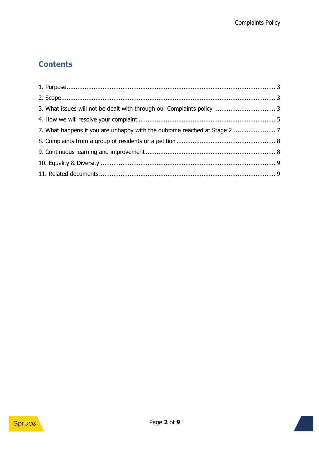## **Contents**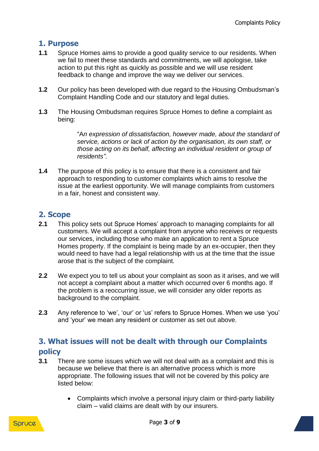## <span id="page-2-0"></span>**1. Purpose**

- **1.1** Spruce Homes aims to provide a good quality service to our residents. When we fail to meet these standards and commitments, we will apologise, take action to put this right as quickly as possible and we will use resident feedback to change and improve the way we deliver our services.
- **1.2** Our policy has been developed with due regard to the Housing Ombudsman's Complaint Handling Code and our statutory and legal duties.
- **1.3** The Housing Ombudsman requires Spruce Homes to define a complaint as being:

"A*n expression of dissatisfaction, however made, about the standard of service, actions or lack of action by the organisation, its own staff, or those acting on its behalf, affecting an individual resident or group of residents".*

**1.4** The purpose of this policy is to ensure that there is a consistent and fair approach to responding to customer complaints which aims to resolve the issue at the earliest opportunity. We will manage complaints from customers in a fair, honest and consistent way.

## <span id="page-2-1"></span>**2. Scope**

- **2.1** This policy sets out Spruce Homes' approach to managing complaints for all customers. We will accept a complaint from anyone who receives or requests our services, including those who make an application to rent a Spruce Homes property. If the complaint is being made by an ex-occupier, then they would need to have had a legal relationship with us at the time that the issue arose that is the subject of the complaint.
- **2.2** We expect you to tell us about your complaint as soon as it arises, and we will not accept a complaint about a matter which occurred over 6 months ago. If the problem is a reoccurring issue, we will consider any older reports as background to the complaint.
- **2.3** Any reference to 'we', 'our' or 'us' refers to Spruce Homes. When we use 'you' and 'your' we mean any resident or customer as set out above.

## <span id="page-2-2"></span>**3. What issues will not be dealt with through our Complaints policy**

- **3.1** There are some issues which we will not deal with as a complaint and this is because we believe that there is an alternative process which is more appropriate. The following issues that will not be covered by this policy are listed below:
	- Complaints which involve a personal injury claim or third-party liability claim – valid claims are dealt with by our insurers.

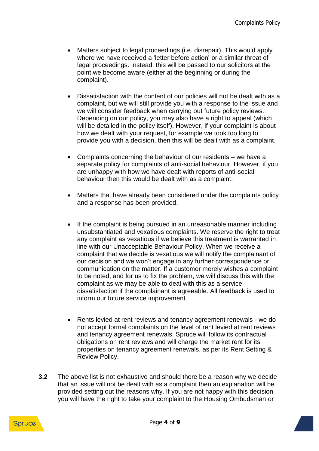- Matters subject to legal proceedings (i.e. disrepair). This would apply where we have received a 'letter before action' or a similar threat of legal proceedings. Instead, this will be passed to our solicitors at the point we become aware (either at the beginning or during the complaint).
- Dissatisfaction with the content of our policies will not be dealt with as a complaint, but we will still provide you with a response to the issue and we will consider feedback when carrying out future policy reviews. Depending on our policy, you may also have a right to appeal (which will be detailed in the policy itself). However, if your complaint is about how we dealt with your request, for example we took too long to provide you with a decision, then this will be dealt with as a complaint.
- Complaints concerning the behaviour of our residents we have a separate policy for complaints of anti-social behaviour. However, if you are unhappy with how we have dealt with reports of anti-social behaviour then this would be dealt with as a complaint.
- Matters that have already been considered under the complaints policy and a response has been provided.
- If the complaint is being pursued in an unreasonable manner including unsubstantiated and vexatious complaints. We reserve the right to treat any complaint as vexatious if we believe this treatment is warranted in line with our Unacceptable Behaviour Policy. When we receive a complaint that we decide is vexatious we will notify the complainant of our decision and we won't engage in any further correspondence or communication on the matter. If a customer merely wishes a complaint to be noted, and for us to fix the problem, we will discuss this with the complaint as we may be able to deal with this as a service dissatisfaction if the complainant is agreeable. All feedback is used to inform our future service improvement.
- Rents levied at rent reviews and tenancy agreement renewals we do not accept formal complaints on the level of rent levied at rent reviews and tenancy agreement renewals. Spruce will follow its contractual obligations on rent reviews and will charge the market rent for its properties on tenancy agreement renewals, as per its Rent Setting & Review Policy.
- **3.2** The above list is not exhaustive and should there be a reason why we decide that an issue will not be dealt with as a complaint then an explanation will be provided setting out the reasons why. If you are not happy with this decision you will have the right to take your complaint to the Housing Ombudsman or

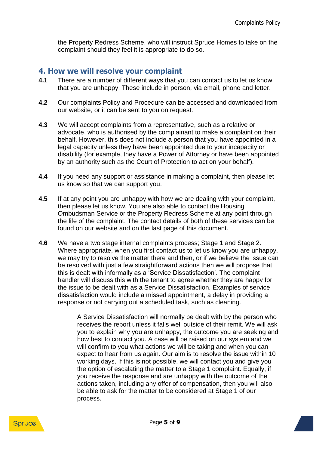the Property Redress Scheme, who will instruct Spruce Homes to take on the complaint should they feel it is appropriate to do so.

## <span id="page-4-0"></span>**4. How we will resolve your complaint**

- **4.1** There are a number of different ways that you can contact us to let us know that you are unhappy. These include in person, via email, phone and letter.
- **4.2** Our complaints Policy and Procedure can be accessed and downloaded from our website, or it can be sent to you on request.
- **4.3** We will accept complaints from a representative, such as a relative or advocate, who is authorised by the complainant to make a complaint on their behalf. However, this does not include a person that you have appointed in a legal capacity unless they have been appointed due to your incapacity or disability (for example, they have a Power of Attorney or have been appointed by an authority such as the Court of Protection to act on your behalf).
- **4.4** If you need any support or assistance in making a complaint, then please let us know so that we can support you.
- **4.5** If at any point you are unhappy with how we are dealing with your complaint, then please let us know. You are also able to contact the Housing Ombudsman Service or the Property Redress Scheme at any point through the life of the complaint. The contact details of both of these services can be found on our website and on the last page of this document.
- **4.6** We have a two stage internal complaints process; Stage 1 and Stage 2. Where appropriate, when you first contact us to let us know you are unhappy. we may try to resolve the matter there and then, or if we believe the issue can be resolved with just a few straightforward actions then we will propose that this is dealt with informally as a 'Service Dissatisfaction'. The complaint handler will discuss this with the tenant to agree whether they are happy for the issue to be dealt with as a Service Dissatisfaction. Examples of service dissatisfaction would include a missed appointment, a delay in providing a response or not carrying out a scheduled task, such as cleaning.

A Service Dissatisfaction will normally be dealt with by the person who receives the report unless it falls well outside of their remit. We will ask you to explain why you are unhappy, the outcome you are seeking and how best to contact you. A case will be raised on our system and we will confirm to you what actions we will be taking and when you can expect to hear from us again. Our aim is to resolve the issue within 10 working days. If this is not possible, we will contact you and give you the option of escalating the matter to a Stage 1 complaint. Equally, if you receive the response and are unhappy with the outcome of the actions taken, including any offer of compensation, then you will also be able to ask for the matter to be considered at Stage 1 of our process.

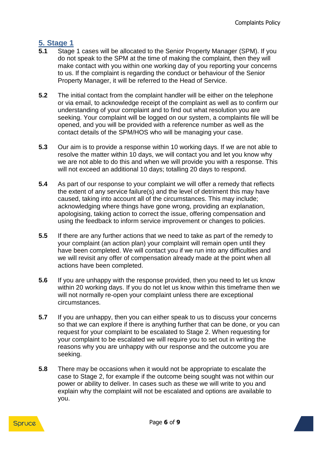## **5. Stage 1**

- **5.1** Stage 1 cases will be allocated to the Senior Property Manager (SPM). If you do not speak to the SPM at the time of making the complaint, then they will make contact with you within one working day of you reporting your concerns to us. If the complaint is regarding the conduct or behaviour of the Senior Property Manager, it will be referred to the Head of Service.
- **5.2** The initial contact from the complaint handler will be either on the telephone or via email, to acknowledge receipt of the complaint as well as to confirm our understanding of your complaint and to find out what resolution you are seeking. Your complaint will be logged on our system, a complaints file will be opened, and you will be provided with a reference number as well as the contact details of the SPM/HOS who will be managing your case.
- **5.3** Our aim is to provide a response within 10 working days. If we are not able to resolve the matter within 10 days, we will contact you and let you know why we are not able to do this and when we will provide you with a response. This will not exceed an additional 10 days; totalling 20 days to respond.
- **5.4** As part of our response to your complaint we will offer a remedy that reflects the extent of any service failure(s) and the level of detriment this may have caused, taking into account all of the circumstances. This may include; acknowledging where things have gone wrong, providing an explanation, apologising, taking action to correct the issue, offering compensation and using the feedback to inform service improvement or changes to policies.
- **5.5** If there are any further actions that we need to take as part of the remedy to your complaint (an action plan) your complaint will remain open until they have been completed. We will contact you if we run into any difficulties and we will revisit any offer of compensation already made at the point when all actions have been completed.
- **5.6** If you are unhappy with the response provided, then you need to let us know within 20 working days. If you do not let us know within this timeframe then we will not normally re-open your complaint unless there are exceptional circumstances.
- **5.7** If you are unhappy, then you can either speak to us to discuss your concerns so that we can explore if there is anything further that can be done, or you can request for your complaint to be escalated to Stage 2. When requesting for your complaint to be escalated we will require you to set out in writing the reasons why you are unhappy with our response and the outcome you are seeking.
- **5.8** There may be occasions when it would not be appropriate to escalate the case to Stage 2, for example if the outcome being sought was not within our power or ability to deliver. In cases such as these we will write to you and explain why the complaint will not be escalated and options are available to you.

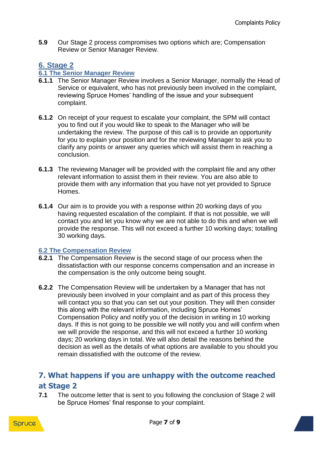**5.9** Our Stage 2 process compromises two options which are; Compensation Review or Senior Manager Review.

## **6. Stage 2**

#### **6.1 The Senior Manager Review**

- **6.1.1** The Senior Manager Review involves a Senior Manager, normally the Head of Service or equivalent, who has not previously been involved in the complaint, reviewing Spruce Homes' handling of the issue and your subsequent complaint.
- **6.1.2** On receipt of your request to escalate your complaint, the SPM will contact you to find out if you would like to speak to the Manager who will be undertaking the review. The purpose of this call is to provide an opportunity for you to explain your position and for the reviewing Manager to ask you to clarify any points or answer any queries which will assist them in reaching a conclusion.
- **6.1.3** The reviewing Manager will be provided with the complaint file and any other relevant information to assist them in their review. You are also able to provide them with any information that you have not yet provided to Spruce **Homes**
- **6.1.4** Our aim is to provide you with a response within 20 working days of you having requested escalation of the complaint. If that is not possible, we will contact you and let you know why we are not able to do this and when we will provide the response. This will not exceed a further 10 working days; totalling 30 working days.

#### **6.2 The Compensation Review**

- **6.2.1** The Compensation Review is the second stage of our process when the dissatisfaction with our response concerns compensation and an increase in the compensation is the only outcome being sought.
- **6.2.2** The Compensation Review will be undertaken by a Manager that has not previously been involved in your complaint and as part of this process they will contact you so that you can set out your position. They will then consider this along with the relevant information, including Spruce Homes' Compensation Policy and notify you of the decision in writing in 10 working days. If this is not going to be possible we will notify you and will confirm when we will provide the response, and this will not exceed a further 10 working days; 20 working days in total. We will also detail the reasons behind the decision as well as the details of what options are available to you should you remain dissatisfied with the outcome of the review.

## <span id="page-6-0"></span>**7. What happens if you are unhappy with the outcome reached at Stage 2**

**7.1** The outcome letter that is sent to you following the conclusion of Stage 2 will be Spruce Homes' final response to your complaint.

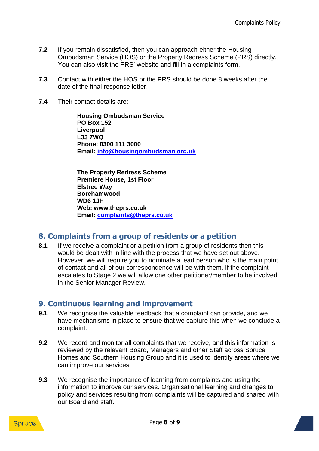- **7.2** If you remain dissatisfied, then you can approach either the Housing Ombudsman Service (HOS) or the Property Redress Scheme (PRS) directly. You can also visit the PRS' website and fill in a complaints form.
- **7.3** Contact with either the HOS or the PRS should be done 8 weeks after the date of the final response letter.
- **7.4** Their contact details are:

**Housing Ombudsman Service PO Box 152 Liverpool L33 7WQ Phone: 0300 111 3000 Email: [info@housingombudsman.org.uk](mailto:info@housingombudsman.org.uk)**

**The Property Redress Scheme Premiere House, 1st Floor Elstree Way Borehamwood WD6 1JH Web: www.theprs.co.uk Email: [complaints@theprs.co.uk](mailto:complaints@theprs.co.uk)**

#### <span id="page-7-0"></span>**8. Complaints from a group of residents or a petition**

**8.1** If we receive a complaint or a petition from a group of residents then this would be dealt with in line with the process that we have set out above. However, we will require you to nominate a lead person who is the main point of contact and all of our correspondence will be with them. If the complaint escalates to Stage 2 we will allow one other petitioner/member to be involved in the Senior Manager Review.

#### <span id="page-7-1"></span>**9. Continuous learning and improvement**

- **9.1** We recognise the valuable feedback that a complaint can provide, and we have mechanisms in place to ensure that we capture this when we conclude a complaint.
- **9.2** We record and monitor all complaints that we receive, and this information is reviewed by the relevant Board, Managers and other Staff across Spruce Homes and Southern Housing Group and it is used to identify areas where we can improve our services.
- **9.3** We recognise the importance of learning from complaints and using the information to improve our services. Organisational learning and changes to policy and services resulting from complaints will be captured and shared with our Board and staff.